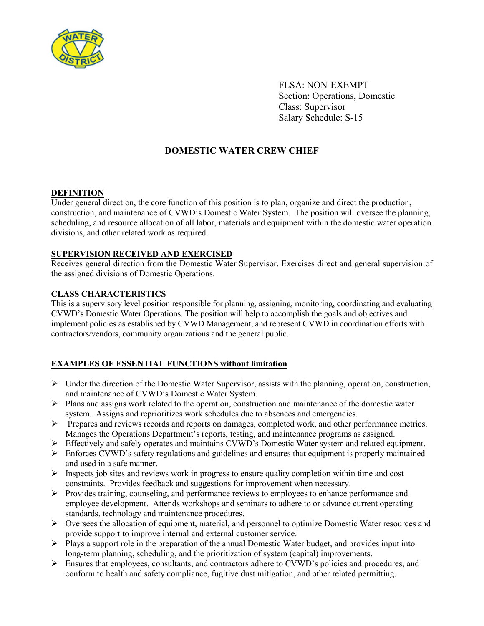

FLSA: NON-EXEMPT Section: Operations, Domestic Class: Supervisor Salary Schedule: S-15

# **DOMESTIC WATER CREW CHIEF**

# **DEFINITION**

Under general direction, the core function of this position is to plan, organize and direct the production, construction, and maintenance of CVWD's Domestic Water System. The position will oversee the planning, scheduling, and resource allocation of all labor, materials and equipment within the domestic water operation divisions, and other related work as required.

# **SUPERVISION RECEIVED AND EXERCISED**

Receives general direction from the Domestic Water Supervisor. Exercises direct and general supervision of the assigned divisions of Domestic Operations.

## **CLASS CHARACTERISTICS**

This is a supervisory level position responsible for planning, assigning, monitoring, coordinating and evaluating CVWD's Domestic Water Operations. The position will help to accomplish the goals and objectives and implement policies as established by CVWD Management, and represent CVWD in coordination efforts with contractors/vendors, community organizations and the general public.

## **EXAMPLES OF ESSENTIAL FUNCTIONS without limitation**

- $\triangleright$  Under the direction of the Domestic Water Supervisor, assists with the planning, operation, construction, and maintenance of CVWD's Domestic Water System.
- $\triangleright$  Plans and assigns work related to the operation, construction and maintenance of the domestic water system. Assigns and reprioritizes work schedules due to absences and emergencies.
- $\triangleright$  Prepares and reviews records and reports on damages, completed work, and other performance metrics. Manages the Operations Department's reports, testing, and maintenance programs as assigned.
- Effectively and safely operates and maintains CVWD's Domestic Water system and related equipment.
- $\triangleright$  Enforces CVWD's safety regulations and guidelines and ensures that equipment is properly maintained and used in a safe manner.
- $\triangleright$  Inspects job sites and reviews work in progress to ensure quality completion within time and cost constraints. Provides feedback and suggestions for improvement when necessary.
- $\triangleright$  Provides training, counseling, and performance reviews to employees to enhance performance and employee development. Attends workshops and seminars to adhere to or advance current operating standards, technology and maintenance procedures.
- $\triangleright$  Oversees the allocation of equipment, material, and personnel to optimize Domestic Water resources and provide support to improve internal and external customer service.
- $\triangleright$  Plays a support role in the preparation of the annual Domestic Water budget, and provides input into long-term planning, scheduling, and the prioritization of system (capital) improvements.
- $\triangleright$  Ensures that employees, consultants, and contractors adhere to CVWD's policies and procedures, and conform to health and safety compliance, fugitive dust mitigation, and other related permitting.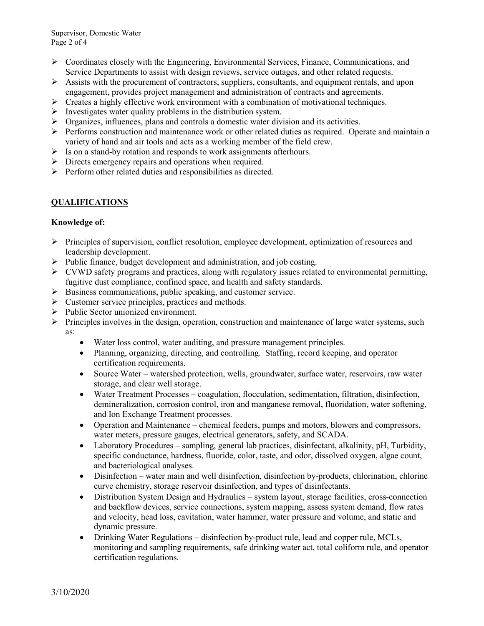- $\triangleright$  Coordinates closely with the Engineering, Environmental Services, Finance, Communications, and Service Departments to assist with design reviews, service outages, and other related requests.
- $\triangleright$  Assists with the procurement of contractors, suppliers, consultants, and equipment rentals, and upon engagement, provides project management and administration of contracts and agreements.
- $\triangleright$  Creates a highly effective work environment with a combination of motivational techniques.
- $\triangleright$  Investigates water quality problems in the distribution system.
- $\triangleright$  Organizes, influences, plans and controls a domestic water division and its activities.
- $\triangleright$  Performs construction and maintenance work or other related duties as required. Operate and maintain a variety of hand and air tools and acts as a working member of the field crew.
- $\triangleright$  Is on a stand-by rotation and responds to work assignments afterhours.
- $\triangleright$  Directs emergency repairs and operations when required.
- $\triangleright$  Perform other related duties and responsibilities as directed.

# **QUALIFICATIONS**

## **Knowledge of:**

- $\triangleright$  Principles of supervision, conflict resolution, employee development, optimization of resources and leadership development.
- $\triangleright$  Public finance, budget development and administration, and job costing.
- $\triangleright$  CVWD safety programs and practices, along with regulatory issues related to environmental permitting, fugitive dust compliance, confined space, and health and safety standards.
- $\triangleright$  Business communications, public speaking, and customer service.
- $\triangleright$  Customer service principles, practices and methods.
- Public Sector unionized environment.
- $\triangleright$  Principles involves in the design, operation, construction and maintenance of large water systems, such as:
	- Water loss control, water auditing, and pressure management principles.
	- Planning, organizing, directing, and controlling. Staffing, record keeping, and operator certification requirements.
	- Source Water watershed protection, wells, groundwater, surface water, reservoirs, raw water storage, and clear well storage.
	- Water Treatment Processes coagulation, flocculation, sedimentation, filtration, disinfection, demineralization, corrosion control, iron and manganese removal, fluoridation, water softening, and Ion Exchange Treatment processes.
	- Operation and Maintenance chemical feeders, pumps and motors, blowers and compressors, water meters, pressure gauges, electrical generators, safety, and SCADA.
	- Laboratory Procedures sampling, general lab practices, disinfectant, alkalinity, pH, Turbidity, specific conductance, hardness, fluoride, color, taste, and odor, dissolved oxygen, algae count, and bacteriological analyses.
	- Disinfection water main and well disinfection, disinfection by-products, chlorination, chlorine curve chemistry, storage reservoir disinfection, and types of disinfectants.
	- Distribution System Design and Hydraulics system layout, storage facilities, cross-connection and backflow devices, service connections, system mapping, assess system demand, flow rates and velocity, head loss, cavitation, water hammer, water pressure and volume, and static and dynamic pressure.
	- Drinking Water Regulations disinfection by-product rule, lead and copper rule, MCLs, monitoring and sampling requirements, safe drinking water act, total coliform rule, and operator certification regulations.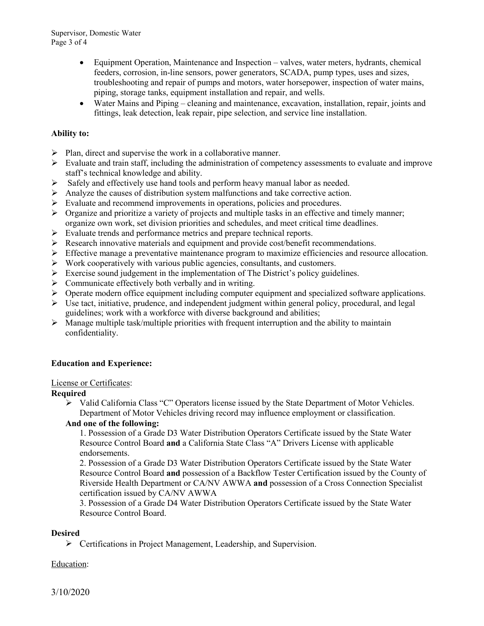Supervisor, Domestic Water Page 3 of 4

- Equipment Operation, Maintenance and Inspection valves, water meters, hydrants, chemical feeders, corrosion, in-line sensors, power generators, SCADA, pump types, uses and sizes, troubleshooting and repair of pumps and motors, water horsepower, inspection of water mains, piping, storage tanks, equipment installation and repair, and wells.
- Water Mains and Piping cleaning and maintenance, excavation, installation, repair, joints and fittings, leak detection, leak repair, pipe selection, and service line installation.

## **Ability to:**

- $\triangleright$  Plan, direct and supervise the work in a collaborative manner.
- $\triangleright$  Evaluate and train staff, including the administration of competency assessments to evaluate and improve staff's technical knowledge and ability.
- $\triangleright$  Safely and effectively use hand tools and perform heavy manual labor as needed.
- Analyze the causes of distribution system malfunctions and take corrective action.
- $\triangleright$  Evaluate and recommend improvements in operations, policies and procedures.
- $\triangleright$  Organize and prioritize a variety of projects and multiple tasks in an effective and timely manner; organize own work, set division priorities and schedules, and meet critical time deadlines.
- $\triangleright$  Evaluate trends and performance metrics and prepare technical reports.
- Research innovative materials and equipment and provide cost/benefit recommendations.
- $\triangleright$  Effective manage a preventative maintenance program to maximize efficiencies and resource allocation.
- $\triangleright$  Work cooperatively with various public agencies, consultants, and customers.
- Exercise sound judgement in the implementation of The District's policy guidelines.
- $\triangleright$  Communicate effectively both verbally and in writing.
- $\triangleright$  Operate modern office equipment including computer equipment and specialized software applications.
- $\triangleright$  Use tact, initiative, prudence, and independent judgment within general policy, procedural, and legal guidelines; work with a workforce with diverse background and abilities;
- $\triangleright$  Manage multiple task/multiple priorities with frequent interruption and the ability to maintain confidentiality.

## **Education and Experience:**

#### License or Certificates:

#### **Required**

 $\triangleright$  Valid California Class "C" Operators license issued by the State Department of Motor Vehicles. Department of Motor Vehicles driving record may influence employment or classification.

# **And one of the following:**

1. Possession of a Grade D3 Water Distribution Operators Certificate issued by the State Water Resource Control Board **and** a California State Class "A" Drivers License with applicable endorsements.

2. Possession of a Grade D3 Water Distribution Operators Certificate issued by the State Water Resource Control Board **and** possession of a Backflow Tester Certification issued by the County of Riverside Health Department or CA/NV AWWA **and** possession of a Cross Connection Specialist certification issued by CA/NV AWWA

3. Possession of a Grade D4 Water Distribution Operators Certificate issued by the State Water Resource Control Board.

#### **Desired**

Certifications in Project Management, Leadership, and Supervision.

#### Education: